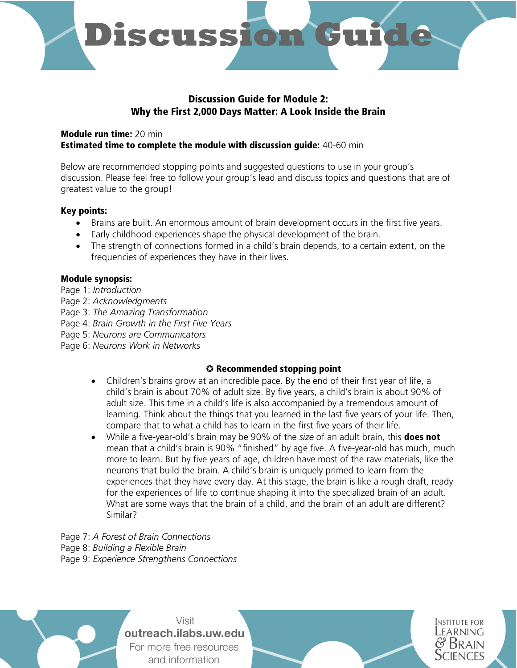

### Discussion Guide for Module 2: Why the First 2,000 Days Matter: A Look Inside the Brain

#### Module run time: 20 min **Estimated time to complete the module with discussion guide: 40-60 min**

Below are recommended stopping points and suggested questions to use in your group's discussion. Please feel free to follow your group's lead and discuss topics and questions that are of greatest value to the group!

#### Key points:

- Brains are built. An enormous amount of brain development occurs in the first five years.
- Early childhood experiences shape the physical development of the brain.
- The strength of connections formed in a child's brain depends, to a certain extent, on the frequencies of experiences they have in their lives.

#### Module synopsis:

- Page 1: *Introduction*
- Page 2: *Acknowledgments*
- Page 3: *The Amazing Transformation*
- Page 4: *Brain Growth in the First Five Years*
- Page 5: *Neurons are Communicators*
- Page 6: *Neurons Work in Networks*

#### ✪ Recommended stopping point

- Children's brains grow at an incredible pace. By the end of their first year of life, a child's brain is about 70% of adult size. By five years, a child's brain is about 90% of adult size. This time in a child's life is also accompanied by a tremendous amount of learning. Think about the things that you learned in the last five years of your life. Then, compare that to what a child has to learn in the first five years of their life.
- While a five-year-old's brain may be 90% of the *size* of an adult brain, this **does not** mean that a child's brain is 90% "finished" by age five. A five-year-old has much, much more to learn. But by five years of age, children have most of the raw materials, like the neurons that build the brain. A child's brain is uniquely primed to learn from the experiences that they have every day. At this stage, the brain is like a rough draft, ready for the experiences of life to continue shaping it into the specialized brain of an adult. What are some ways that the brain of a child, and the brain of an adult are different? Similar?

Page 7: *A Forest of Brain Connections*  Page 8: *Building a Flexible Brain*  Page 9: *Experience Strengthens Connections* 



Visit outreach.ilabs.uw.edu For more free resources and information

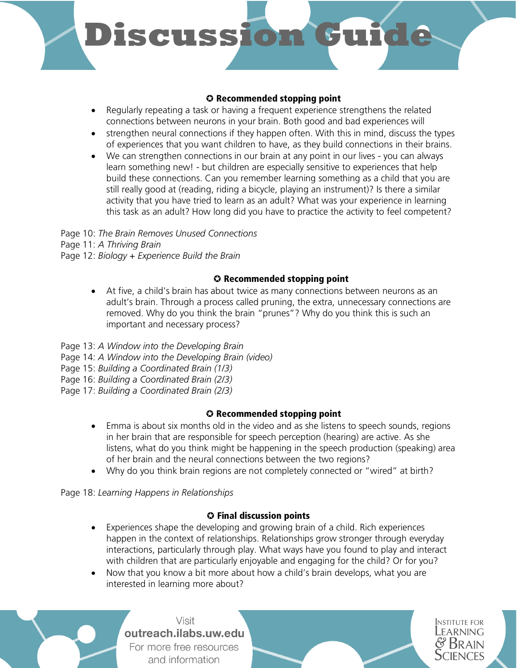# **Discussion**

#### ✪ Recommended stopping point

- Regularly repeating a task or having a frequent experience strengthens the related connections between neurons in your brain. Both good and bad experiences will
- strengthen neural connections if they happen often. With this in mind, discuss the types of experiences that you want children to have, as they build connections in their brains.
- We can strengthen connections in our brain at any point in our lives you can always learn something new! - but children are especially sensitive to experiences that help build these connections. Can you remember learning something as a child that you are still really good at (reading, riding a bicycle, playing an instrument)? Is there a similar activity that you have tried to learn as an adult? What was your experience in learning this task as an adult? How long did you have to practice the activity to feel competent?

Page 10: *The Brain Removes Unused Connections* Page 11: *A Thriving Brain*  Page 12: *Biology + Experience Build the Brain* 

#### ✪ Recommended stopping point

- At five, a child's brain has about twice as many connections between neurons as an adult's brain. Through a process called pruning, the extra, unnecessary connections are removed. Why do you think the brain "prunes"? Why do you think this is such an important and necessary process?
- Page 13: *A Window into the Developing Brain*
- Page 14: *A Window into the Developing Brain (video)*
- Page 15: *Building a Coordinated Brain (1/3)*
- Page 16: *Building a Coordinated Brain (2/3)*
- Page 17: *Building a Coordinated Brain (2/3)*

# ✪ Recommended stopping point

- Emma is about six months old in the video and as she listens to speech sounds, regions in her brain that are responsible for speech perception (hearing) are active. As she listens, what do you think might be happening in the speech production (speaking) area of her brain and the neural connections between the two regions?
- Why do you think brain regions are not completely connected or "wired" at birth?

Page 18: *Learning Happens in Relationships*

# ✪ Final discussion points

• Experiences shape the developing and growing brain of a child. Rich experiences happen in the context of relationships. Relationships grow stronger through everyday interactions, particularly through play. What ways have you found to play and interact with children that are particularly enjoyable and engaging for the child? Or for you?

> **INSTITUTE FOR** Learning

• Now that you know a bit more about how a child's brain develops, what you are interested in learning more about?

Visit outreach.ilabs.uw.edu For more free resources and information